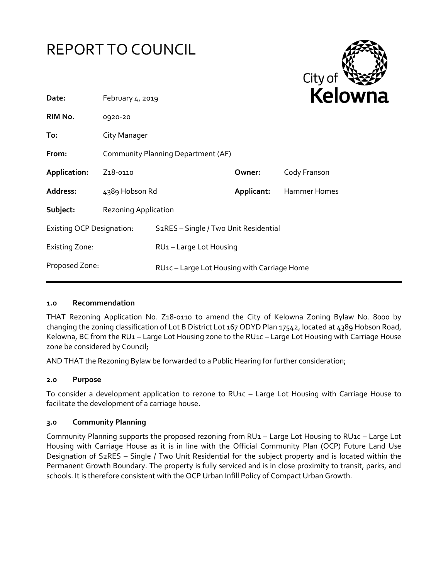



| Date:                            | February 4, 2019                   |                                             |            |              |
|----------------------------------|------------------------------------|---------------------------------------------|------------|--------------|
| RIM No.                          | 0920-20                            |                                             |            |              |
| To:                              | City Manager                       |                                             |            |              |
| From:                            | Community Planning Department (AF) |                                             |            |              |
| Application:                     | Z <sub>1</sub> 8-0110              |                                             | Owner:     | Cody Franson |
| Address:                         | 4389 Hobson Rd                     |                                             | Applicant: | Hammer Homes |
| Subject:                         | <b>Rezoning Application</b>        |                                             |            |              |
| <b>Existing OCP Designation:</b> |                                    | S2RES - Single / Two Unit Residential       |            |              |
| <b>Existing Zone:</b>            |                                    | RU1-Large Lot Housing                       |            |              |
| Proposed Zone:                   |                                    | RU1c - Large Lot Housing with Carriage Home |            |              |

## **1.0 Recommendation**

THAT Rezoning Application No. Z18-0110 to amend the City of Kelowna Zoning Bylaw No. 8000 by changing the zoning classification of Lot B District Lot 167 ODYD Plan 17542, located at 4389 Hobson Road, Kelowna, BC from the RU1 – Large Lot Housing zone to the RU1c – Large Lot Housing with Carriage House zone be considered by Council;

AND THAT the Rezoning Bylaw be forwarded to a Public Hearing for further consideration;

### **2.0 Purpose**

To consider a development application to rezone to RU1c – Large Lot Housing with Carriage House to facilitate the development of a carriage house.

### **3.0 Community Planning**

Community Planning supports the proposed rezoning from RU1 – Large Lot Housing to RU1c – Large Lot Housing with Carriage House as it is in line with the Official Community Plan (OCP) Future Land Use Designation of S2RES – Single / Two Unit Residential for the subject property and is located within the Permanent Growth Boundary. The property is fully serviced and is in close proximity to transit, parks, and schools. It is therefore consistent with the OCP Urban Infill Policy of Compact Urban Growth.